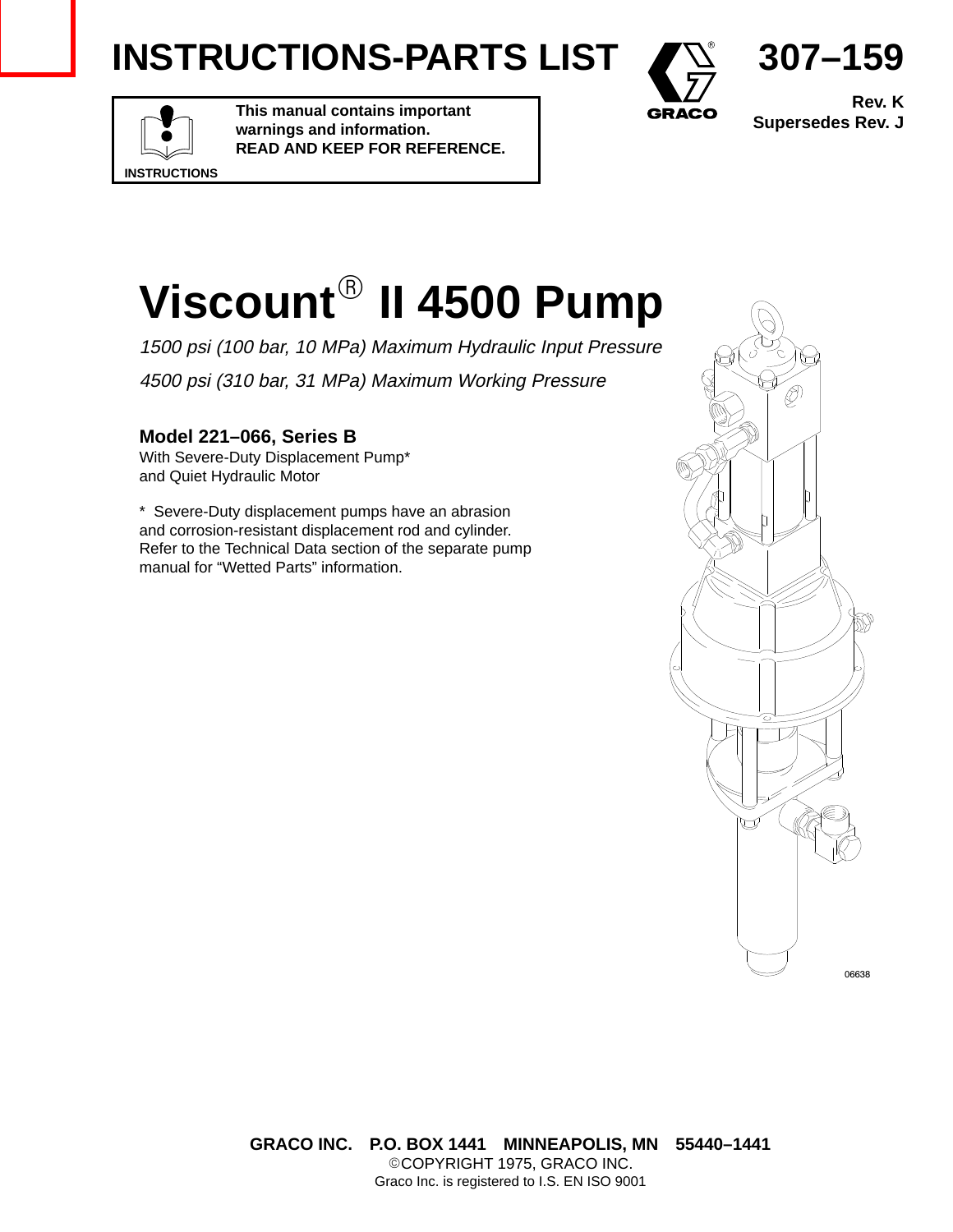# **INSTRUCTIONS-PARTS LIST**



**Rev. K Supersedes Rev. J**

**307–159**

# **INSTRUCTIONS**

**This manual contains important warnings and information. READ AND KEEP FOR REFERENCE.**



1500 psi (100 bar, 10 MPa) Maximum Hydraulic Input Pressure 4500 psi (310 bar, 31 MPa) Maximum Working Pressure

#### **Model 221–066, Series B**

With Severe-Duty Displacement Pump\* and Quiet Hydraulic Motor

\* Severe-Duty displacement pumps have an abrasion and corrosion-resistant displacement rod and cylinder. Refer to the Technical Data section of the separate pump manual for "Wetted Parts" information.

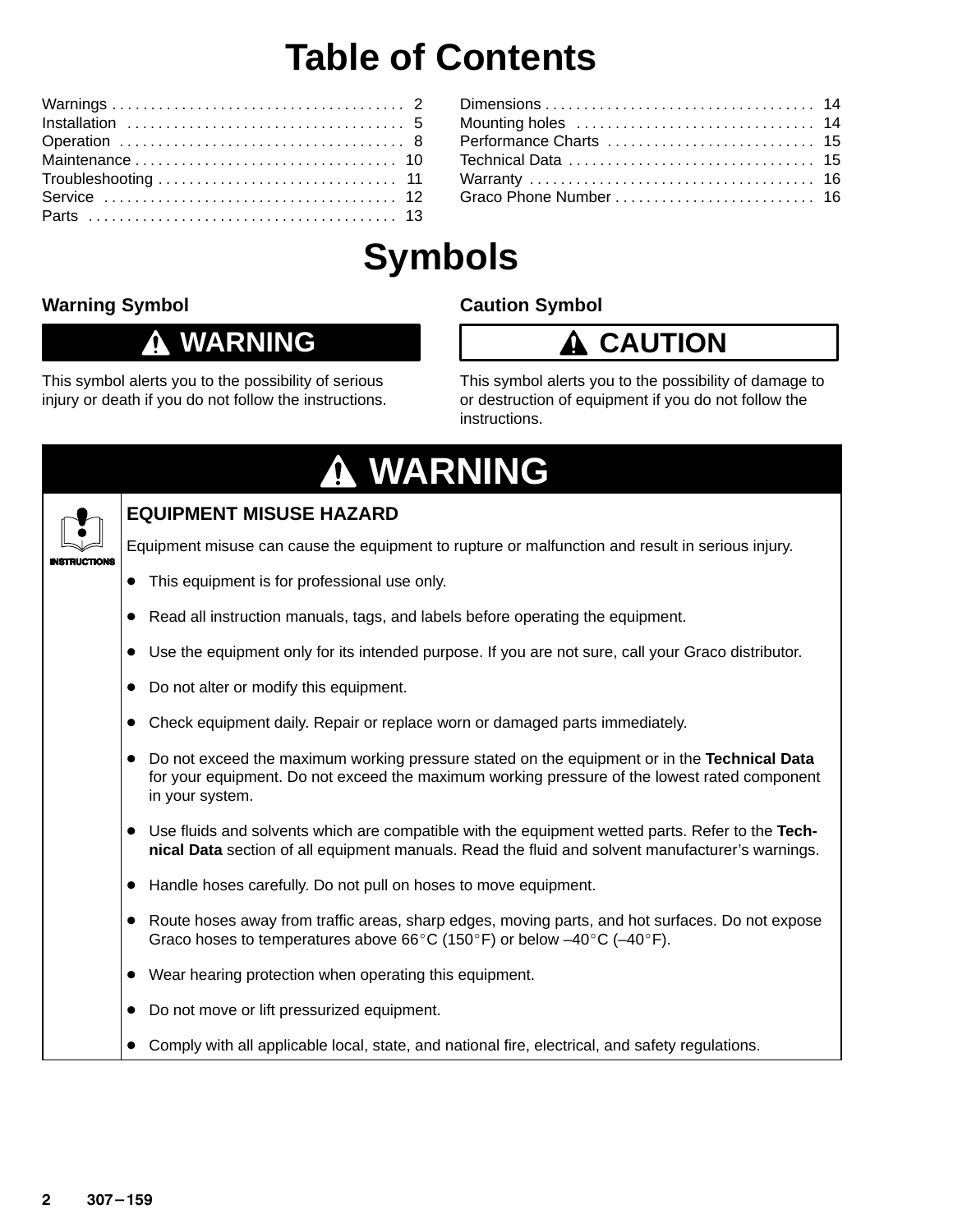## **Table of Contents**

| Performance Charts  15 |  |
|------------------------|--|
|                        |  |
|                        |  |
|                        |  |
|                        |  |

# **Symbols**

#### **Warning Symbol**

#### **WARNING** 0

This symbol alerts you to the possibility of serious injury or death if you do not follow the instructions.

#### **Caution Symbol**



This symbol alerts you to the possibility of damage to or destruction of equipment if you do not follow the instructions.

|             | A WARNING                                                                                                                                                                                                           |
|-------------|---------------------------------------------------------------------------------------------------------------------------------------------------------------------------------------------------------------------|
|             | <b>EQUIPMENT MISUSE HAZARD</b>                                                                                                                                                                                      |
| NSTRUCTIONS | Equipment misuse can cause the equipment to rupture or malfunction and result in serious injury.                                                                                                                    |
|             | This equipment is for professional use only.<br>$\bullet$                                                                                                                                                           |
|             | Read all instruction manuals, tags, and labels before operating the equipment.                                                                                                                                      |
|             | Use the equipment only for its intended purpose. If you are not sure, call your Graco distributor.                                                                                                                  |
|             | Do not alter or modify this equipment.<br>$\bullet$                                                                                                                                                                 |
|             | Check equipment daily. Repair or replace worn or damaged parts immediately.<br>$\bullet$                                                                                                                            |
|             | Do not exceed the maximum working pressure stated on the equipment or in the Technical Data<br>٠<br>for your equipment. Do not exceed the maximum working pressure of the lowest rated component<br>in your system. |
|             | Use fluids and solvents which are compatible with the equipment wetted parts. Refer to the Tech-<br>nical Data section of all equipment manuals. Read the fluid and solvent manufacturer's warnings.                |
|             | Handle hoses carefully. Do not pull on hoses to move equipment.<br>$\bullet$                                                                                                                                        |
|             | Route hoses away from traffic areas, sharp edges, moving parts, and hot surfaces. Do not expose<br>$\bullet$<br>Graco hoses to temperatures above 66°C (150°F) or below $-40^{\circ}$ C ( $-40^{\circ}$ F).         |
|             | Wear hearing protection when operating this equipment.                                                                                                                                                              |
|             | Do not move or lift pressurized equipment.                                                                                                                                                                          |
|             | Comply with all applicable local, state, and national fire, electrical, and safety regulations.                                                                                                                     |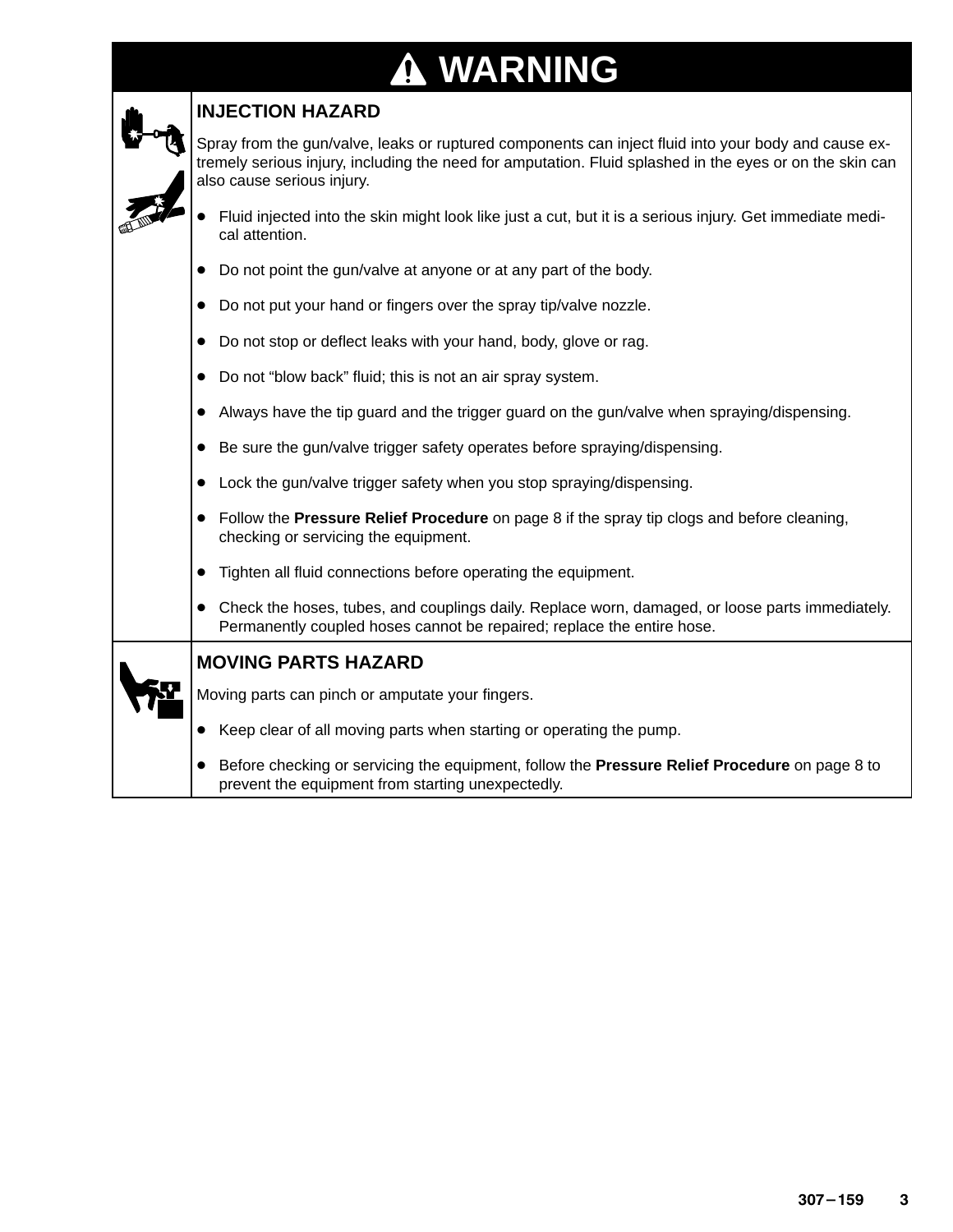# **WARNING**

| <b>INJECTION HAZARD</b>                                                                                                                                                                                                                        |
|------------------------------------------------------------------------------------------------------------------------------------------------------------------------------------------------------------------------------------------------|
| Spray from the gun/valve, leaks or ruptured components can inject fluid into your body and cause ex-<br>tremely serious injury, including the need for amputation. Fluid splashed in the eyes or on the skin can<br>also cause serious injury. |
| Fluid injected into the skin might look like just a cut, but it is a serious injury. Get immediate medi-<br>cal attention.                                                                                                                     |
| Do not point the gun/valve at anyone or at any part of the body.                                                                                                                                                                               |
| Do not put your hand or fingers over the spray tip/valve nozzle.<br>$\bullet$                                                                                                                                                                  |
| Do not stop or deflect leaks with your hand, body, glove or rag.                                                                                                                                                                               |
| Do not "blow back" fluid; this is not an air spray system.<br>$\bullet$                                                                                                                                                                        |
| Always have the tip guard and the trigger guard on the gun/valve when spraying/dispensing.                                                                                                                                                     |
| Be sure the gun/valve trigger safety operates before spraying/dispensing.<br>$\bullet$                                                                                                                                                         |
| Lock the gun/valve trigger safety when you stop spraying/dispensing.                                                                                                                                                                           |
| Follow the Pressure Relief Procedure on page 8 if the spray tip clogs and before cleaning,<br>checking or servicing the equipment.                                                                                                             |
| Tighten all fluid connections before operating the equipment.                                                                                                                                                                                  |
| Check the hoses, tubes, and couplings daily. Replace worn, damaged, or loose parts immediately.<br>$\bullet$<br>Permanently coupled hoses cannot be repaired; replace the entire hose.                                                         |
| <b>MOVING PARTS HAZARD</b>                                                                                                                                                                                                                     |
| Moving parts can pinch or amputate your fingers.                                                                                                                                                                                               |
| Keep clear of all moving parts when starting or operating the pump.                                                                                                                                                                            |
| Before checking or servicing the equipment, follow the Pressure Relief Procedure on page 8 to<br>prevent the equipment from starting unexpectedly.                                                                                             |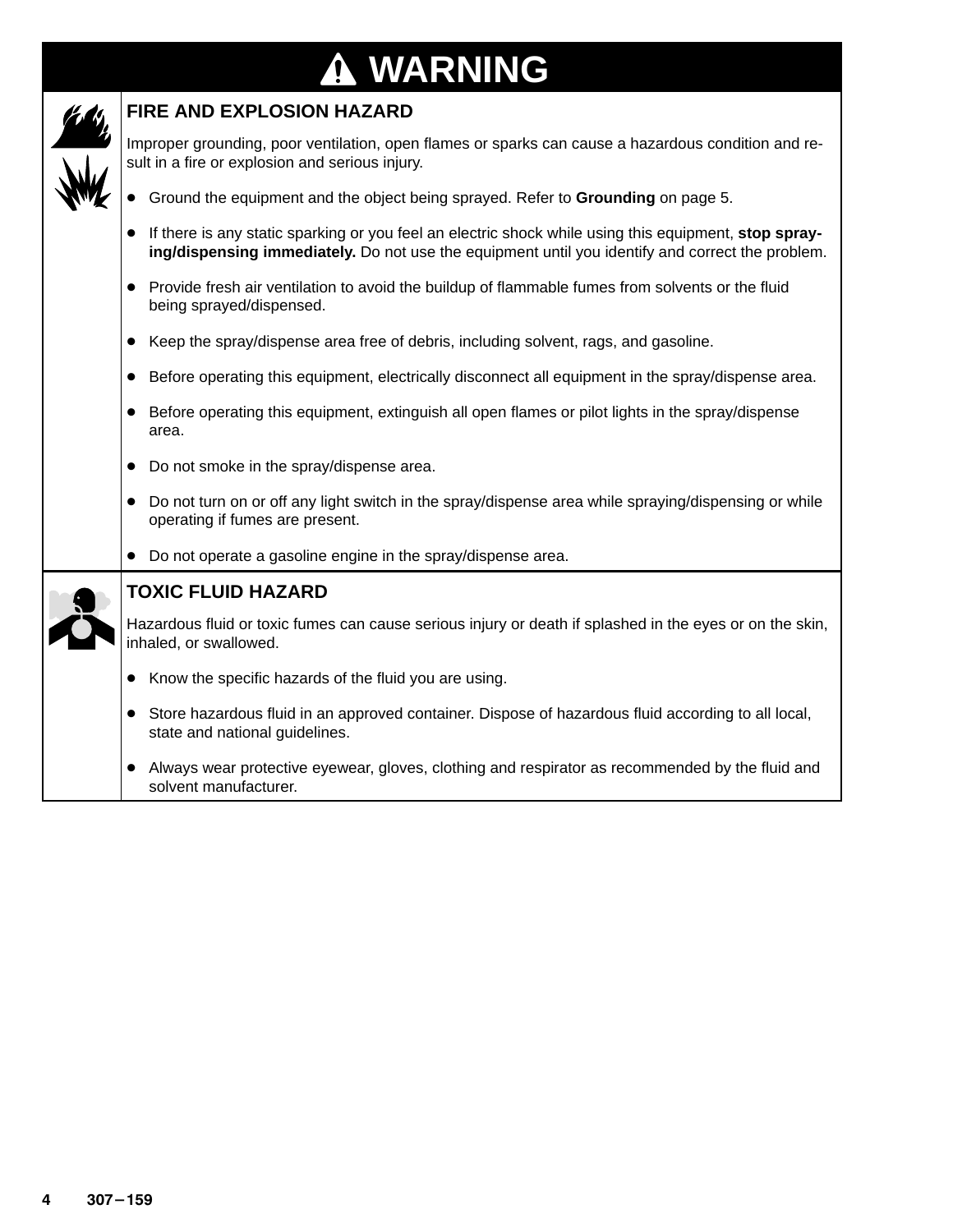# **WARNING**

| <b>FIRE AND EXPLOSION HAZARD</b>                                                                                                                                                                          |
|-----------------------------------------------------------------------------------------------------------------------------------------------------------------------------------------------------------|
| Improper grounding, poor ventilation, open flames or sparks can cause a hazardous condition and re-<br>sult in a fire or explosion and serious injury.                                                    |
| • Ground the equipment and the object being sprayed. Refer to Grounding on page 5.                                                                                                                        |
| If there is any static sparking or you feel an electric shock while using this equipment, stop spray-<br>ing/dispensing immediately. Do not use the equipment until you identify and correct the problem. |
| Provide fresh air ventilation to avoid the buildup of flammable fumes from solvents or the fluid<br>$\bullet$<br>being sprayed/dispensed.                                                                 |
| Keep the spray/dispense area free of debris, including solvent, rags, and gasoline.<br>$\bullet$                                                                                                          |
| Before operating this equipment, electrically disconnect all equipment in the spray/dispense area.<br>$\bullet$                                                                                           |
| Before operating this equipment, extinguish all open flames or pilot lights in the spray/dispense<br>$\bullet$<br>area.                                                                                   |
| Do not smoke in the spray/dispense area.<br>$\bullet$                                                                                                                                                     |
| Do not turn on or off any light switch in the spray/dispense area while spraying/dispensing or while<br>$\bullet$<br>operating if fumes are present.                                                      |
| Do not operate a gasoline engine in the spray/dispense area.                                                                                                                                              |
| <b>TOXIC FLUID HAZARD</b>                                                                                                                                                                                 |
| Hazardous fluid or toxic fumes can cause serious injury or death if splashed in the eyes or on the skin,<br>inhaled, or swallowed.                                                                        |
| Know the specific hazards of the fluid you are using.<br>$\bullet$                                                                                                                                        |
| Store hazardous fluid in an approved container. Dispose of hazardous fluid according to all local,<br>$\bullet$<br>state and national guidelines.                                                         |
| Always wear protective eyewear, gloves, clothing and respirator as recommended by the fluid and<br>solvent manufacturer.                                                                                  |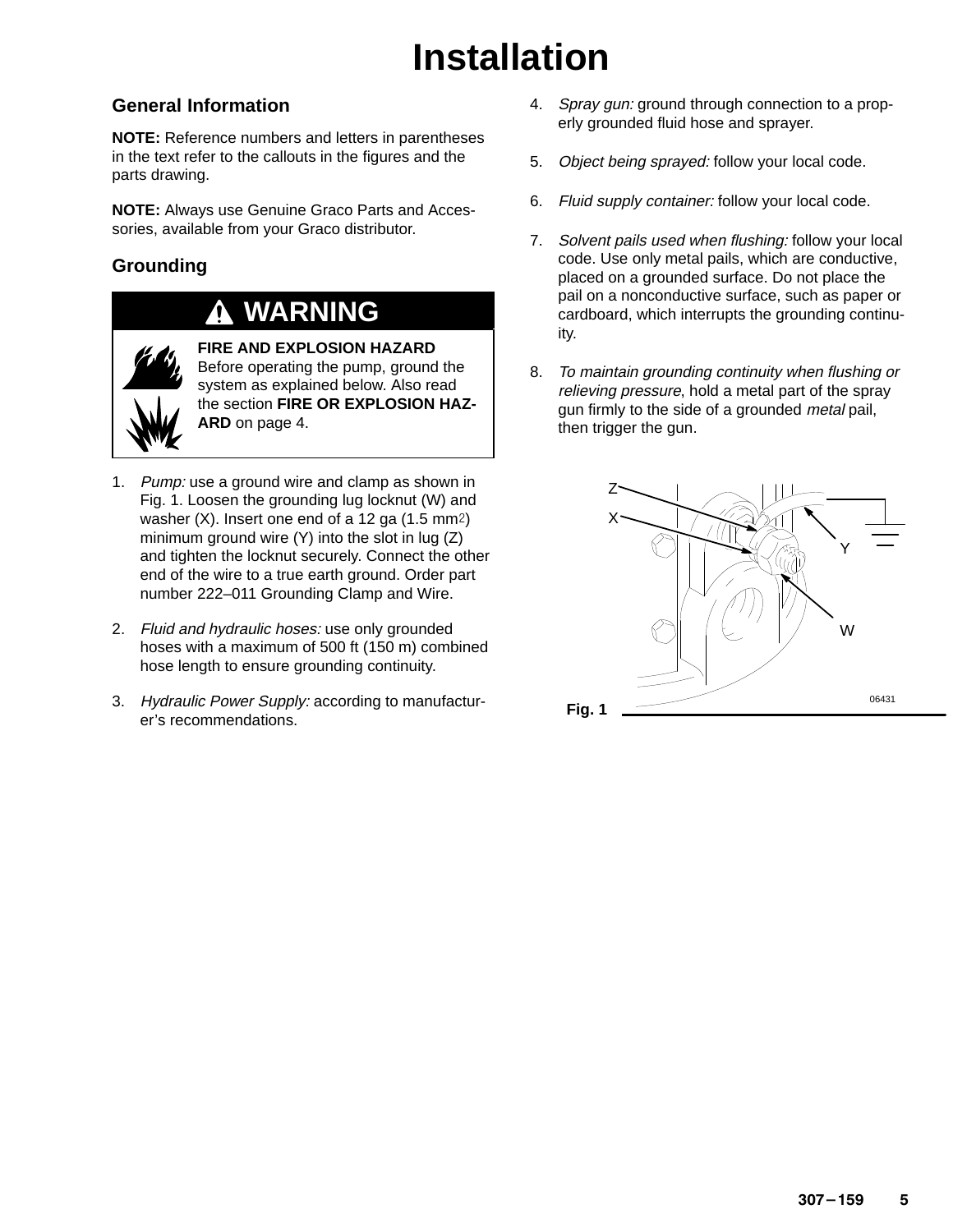# **Installation**

#### **General Information**

**NOTE:** Reference numbers and letters in parentheses in the text refer to the callouts in the figures and the parts drawing.

**NOTE:** Always use Genuine Graco Parts and Accessories, available from your Graco distributor.

#### **Grounding**

### **WARNING**



**FIRE AND EXPLOSION HAZARD** Before operating the pump, ground the system as explained below. Also read the section **FIRE OR EXPLOSION HAZ-ARD** on page 4.

- 1. Pump: use a ground wire and clamp as shown in Fig. 1. Loosen the grounding lug locknut (W) and washer  $(X)$ . Insert one end of a 12 ga  $(1.5 \text{ mm}^2)$ minimum ground wire (Y) into the slot in lug (Z) and tighten the locknut securely. Connect the other end of the wire to a true earth ground. Order part number 222–011 Grounding Clamp and Wire.
- 2. Fluid and hydraulic hoses: use only grounded hoses with a maximum of 500 ft (150 m) combined hose length to ensure grounding continuity.
- 3. Hydraulic Power Supply: according to manufacturer's recommendations.
- 4. Spray gun: ground through connection to a properly grounded fluid hose and sprayer.
- 5. Object being sprayed: follow your local code.
- 6. Fluid supply container: follow your local code.
- 7. Solvent pails used when flushing: follow your local code. Use only metal pails, which are conductive, placed on a grounded surface. Do not place the pail on a nonconductive surface, such as paper or cardboard, which interrupts the grounding continuity.
- 8. <sup>T</sup>o maintain grounding continuity when flushing or relieving pressure, hold a metal part of the spray gun firmly to the side of a grounded *metal* pail, then trigger the gun.

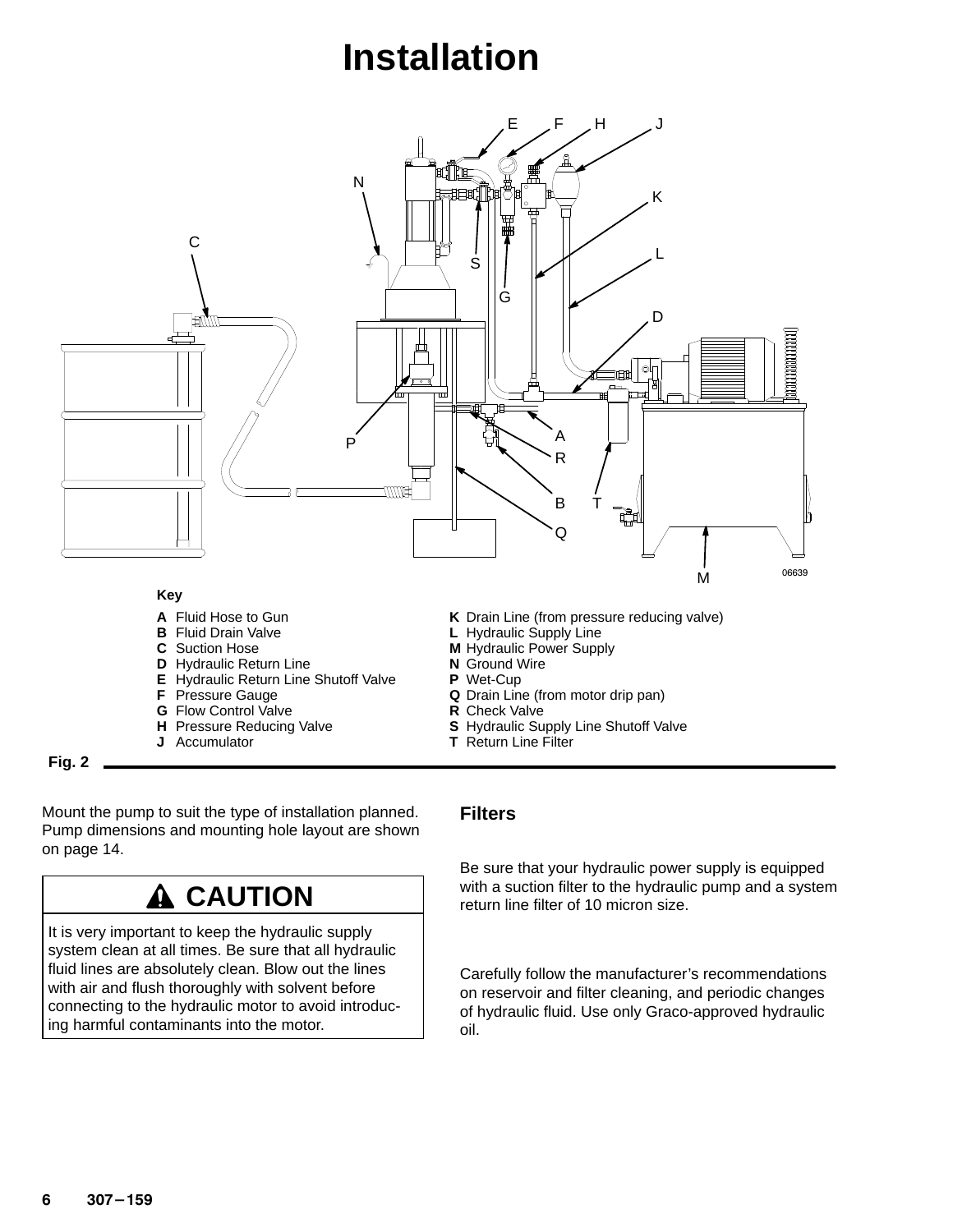# **Installation**



**Fig. 2**

Mount the pump to suit the type of installation planned. Pump dimensions and mounting hole layout are shown on page 14.

### **A** CAUTION

It is very important to keep the hydraulic supply system clean at all times. Be sure that all hydraulic fluid lines are absolutely clean. Blow out the lines with air and flush thoroughly with solvent before connecting to the hydraulic motor to avoid introducing harmful contaminants into the motor.

#### **Filters**

Be sure that your hydraulic power supply is equipped with a suction filter to the hydraulic pump and a system return line filter of 10 micron size.

Carefully follow the manufacturer's recommendations on reservoir and filter cleaning, and periodic changes of hydraulic fluid. Use only Graco-approved hydraulic oil.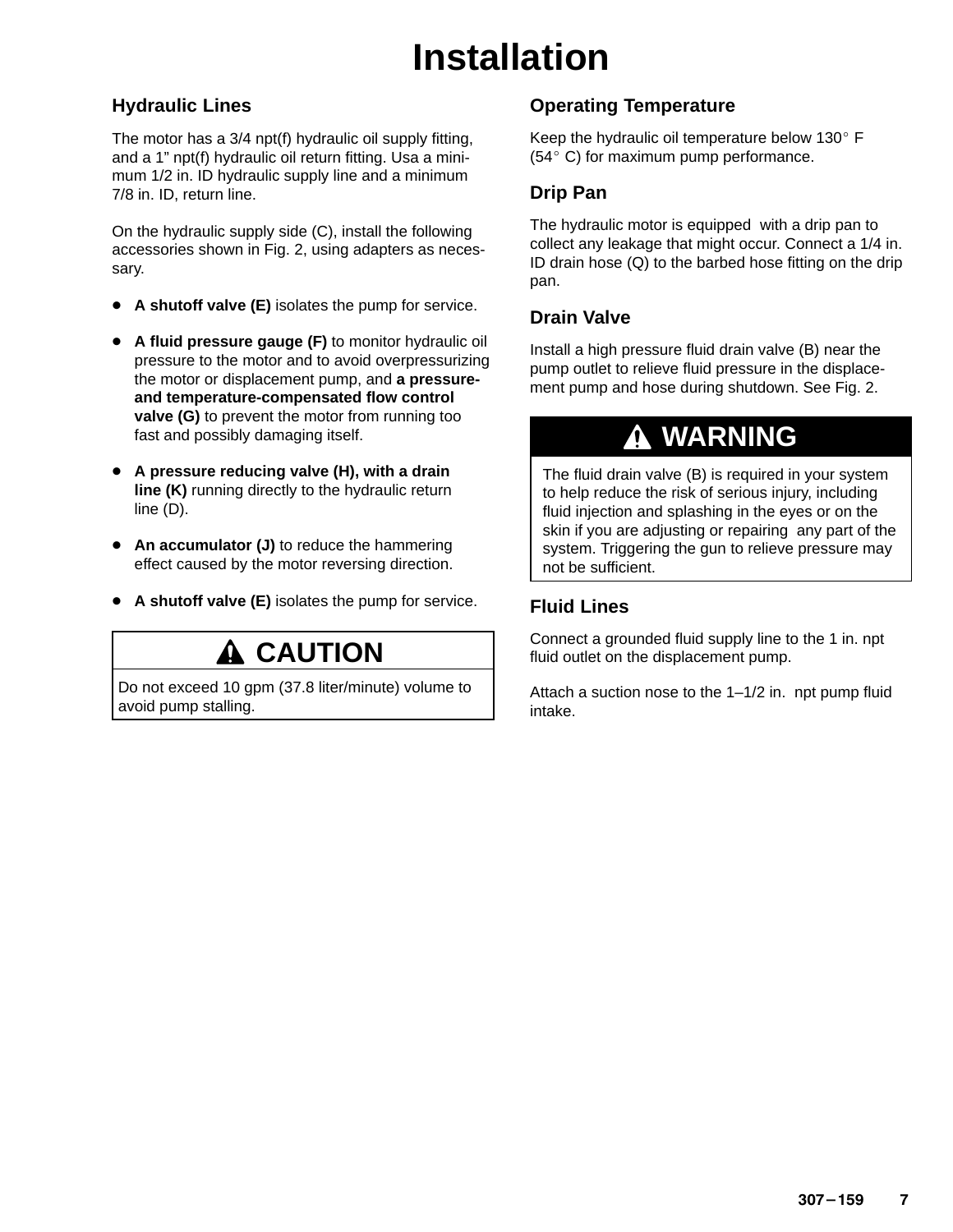# **Installation**

#### **Hydraulic Lines**

The motor has a 3/4 npt(f) hydraulic oil supply fitting, and a 1" npt(f) hydraulic oil return fitting. Usa a minimum 1/2 in. ID hydraulic supply line and a minimum 7/8 in. ID, return line.

On the hydraulic supply side (C), install the following accessories shown in Fig. 2, using adapters as necessary.

- **A shutoff valve (E)** isolates the pump for service.
- **A fluid pressure gauge (F)** to monitor hydraulic oil pressure to the motor and to avoid overpressurizing the motor or displacement pump, and **a pressureand temperature-compensated flow control valve (G)** to prevent the motor from running too fast and possibly damaging itself.
- $\bullet$  **A pressure reducing valve (H), with a drain line (K)** running directly to the hydraulic return line (D).
- **An accumulator (J)** to reduce the hammering effect caused by the motor reversing direction.
- **A shutoff valve (E)** isolates the pump for service.

### **A CAUTION**

Do not exceed 10 gpm (37.8 liter/minute) volume to avoid pump stalling.

#### **Operating Temperature**

Keep the hydraulic oil temperature below  $130^{\circ}$  F (54° C) for maximum pump performance.

#### **Drip Pan**

The hydraulic motor is equipped with a drip pan to collect any leakage that might occur. Connect a 1/4 in. ID drain hose (Q) to the barbed hose fitting on the drip pan.

#### **Drain Valve**

Install a high pressure fluid drain valve (B) near the pump outlet to relieve fluid pressure in the displacement pump and hose during shutdown. See Fig. 2.

### **WARNING**

The fluid drain valve (B) is required in your system to help reduce the risk of serious injury, including fluid injection and splashing in the eyes or on the skin if you are adjusting or repairing any part of the system. Triggering the gun to relieve pressure may not be sufficient.

#### **Fluid Lines**

Connect a grounded fluid supply line to the 1 in. npt fluid outlet on the displacement pump.

Attach a suction nose to the 1–1/2 in. npt pump fluid intake.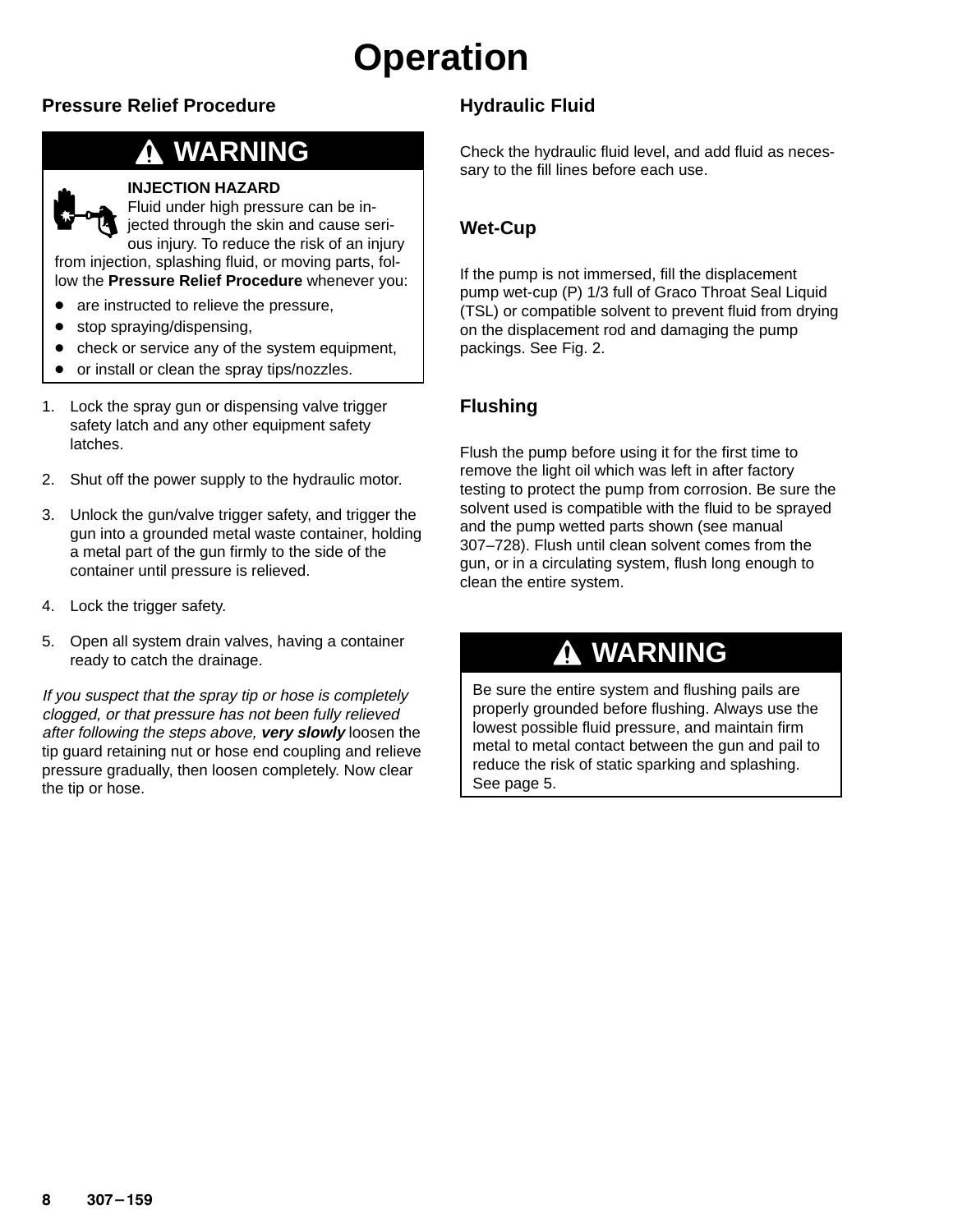# **Operation**

#### **Pressure Relief Procedure**

### **WARNING**

#### **INJECTION HAZARD**

Fluid under high pressure can be injected through the skin and cause serious injury. To reduce the risk of an injury

from injection, splashing fluid, or moving parts, follow the **Pressure Relief Procedure** whenever you:

- are instructed to relieve the pressure,
- $\bullet$ stop spraying/dispensing,
- $\bullet$ check or service any of the system equipment,
- $\bullet$ or install or clean the spray tips/nozzles.
- 1. Lock the spray gun or dispensing valve trigger safety latch and any other equipment safety latches.
- 2. Shut off the power supply to the hydraulic motor.
- 3. Unlock the gun/valve trigger safety, and trigger the gun into a grounded metal waste container, holding a metal part of the gun firmly to the side of the container until pressure is relieved.
- 4. Lock the trigger safety.
- 5. Open all system drain valves, having a container ready to catch the drainage.

If you suspect that the spray tip or hose is completely clogged, or that pressure has not been fully relieved after following the steps above, **very slowly** loosen the tip guard retaining nut or hose end coupling and relieve pressure gradually, then loosen completely. Now clear the tip or hose.

#### **Hydraulic Fluid**

Check the hydraulic fluid level, and add fluid as necessary to the fill lines before each use.

#### **Wet-Cup**

If the pump is not immersed, fill the displacement pump wet-cup (P) 1/3 full of Graco Throat Seal Liquid (TSL) or compatible solvent to prevent fluid from drying on the displacement rod and damaging the pump packings. See Fig. 2.

#### **Flushing**

Flush the pump before using it for the first time to remove the light oil which was left in after factory testing to protect the pump from corrosion. Be sure the solvent used is compatible with the fluid to be sprayed and the pump wetted parts shown (see manual 307–728). Flush until clean solvent comes from the gun, or in a circulating system, flush long enough to clean the entire system.

### **WARNING**

Be sure the entire system and flushing pails are properly grounded before flushing. Always use the lowest possible fluid pressure, and maintain firm metal to metal contact between the gun and pail to reduce the risk of static sparking and splashing. See page 5.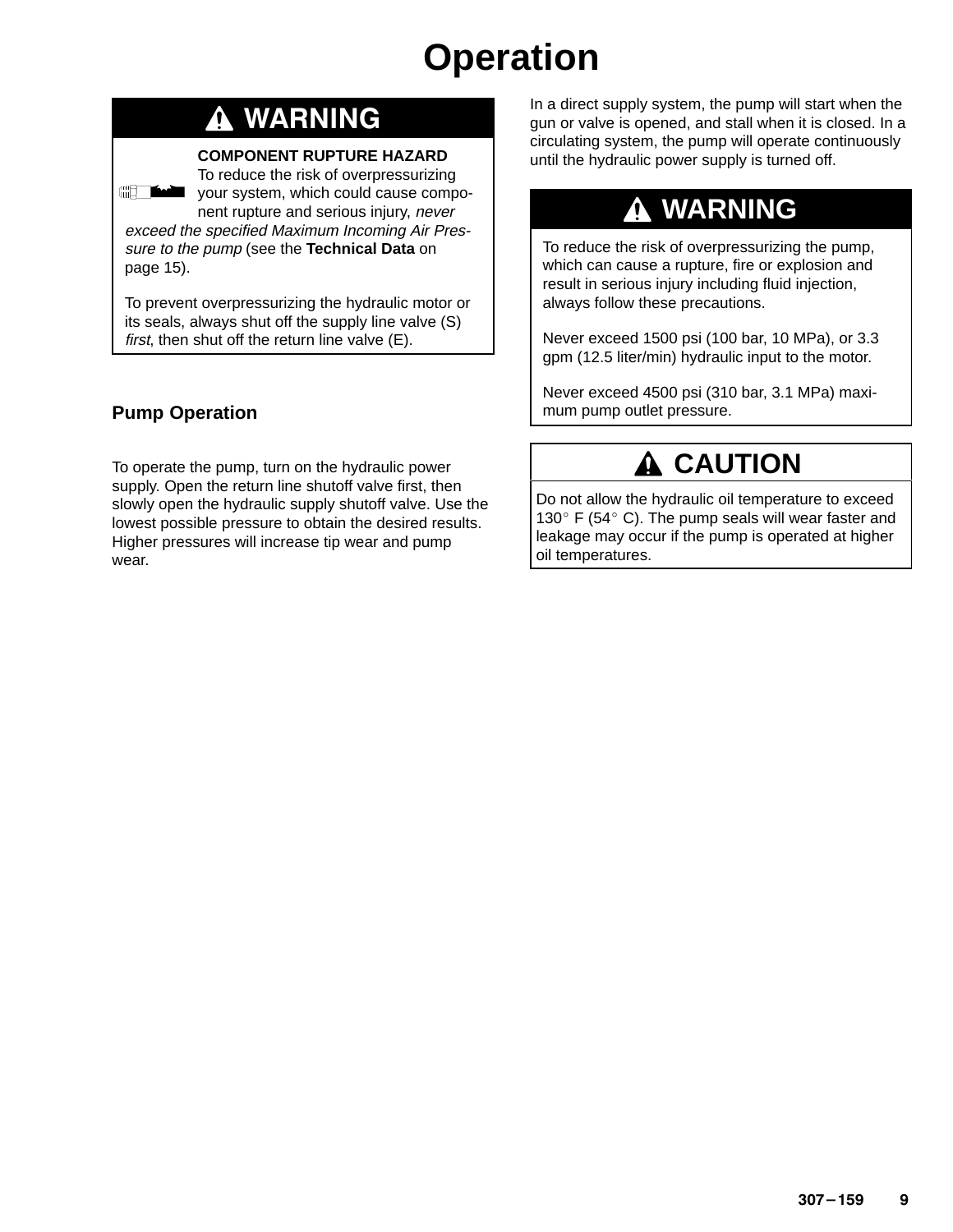# **Operation**

### **WARNING**

#### **COMPONENT RUPTURE HAZARD**

To reduce the risk of overpressurizing your system, which could cause component rupture and serious injury, never exceed the specified Maximum Incoming Air Pres-

sure to the pump (see the **Technical Data** on page 15).

To prevent overpressurizing the hydraulic motor or its seals, always shut off the supply line valve (S) first, then shut off the return line valve (E).

#### **Pump Operation**

**All The Manufacturer** 

To operate the pump, turn on the hydraulic power supply. Open the return line shutoff valve first, then slowly open the hydraulic supply shutoff valve. Use the lowest possible pressure to obtain the desired results. Higher pressures will increase tip wear and pump wear.

In a direct supply system, the pump will start when the gun or valve is opened, and stall when it is closed. In a circulating system, the pump will operate continuously until the hydraulic power supply is turned off.

### **WARNING**

To reduce the risk of overpressurizing the pump, which can cause a rupture, fire or explosion and result in serious injury including fluid injection, always follow these precautions.

Never exceed 1500 psi (100 bar, 10 MPa), or 3.3 gpm (12.5 liter/min) hydraulic input to the motor.

Never exceed 4500 psi (310 bar, 3.1 MPa) maximum pump outlet pressure.

### **A** CAUTION

Do not allow the hydraulic oil temperature to exceed 130 $\degree$  F (54 $\degree$  C). The pump seals will wear faster and leakage may occur if the pump is operated at higher oil temperatures.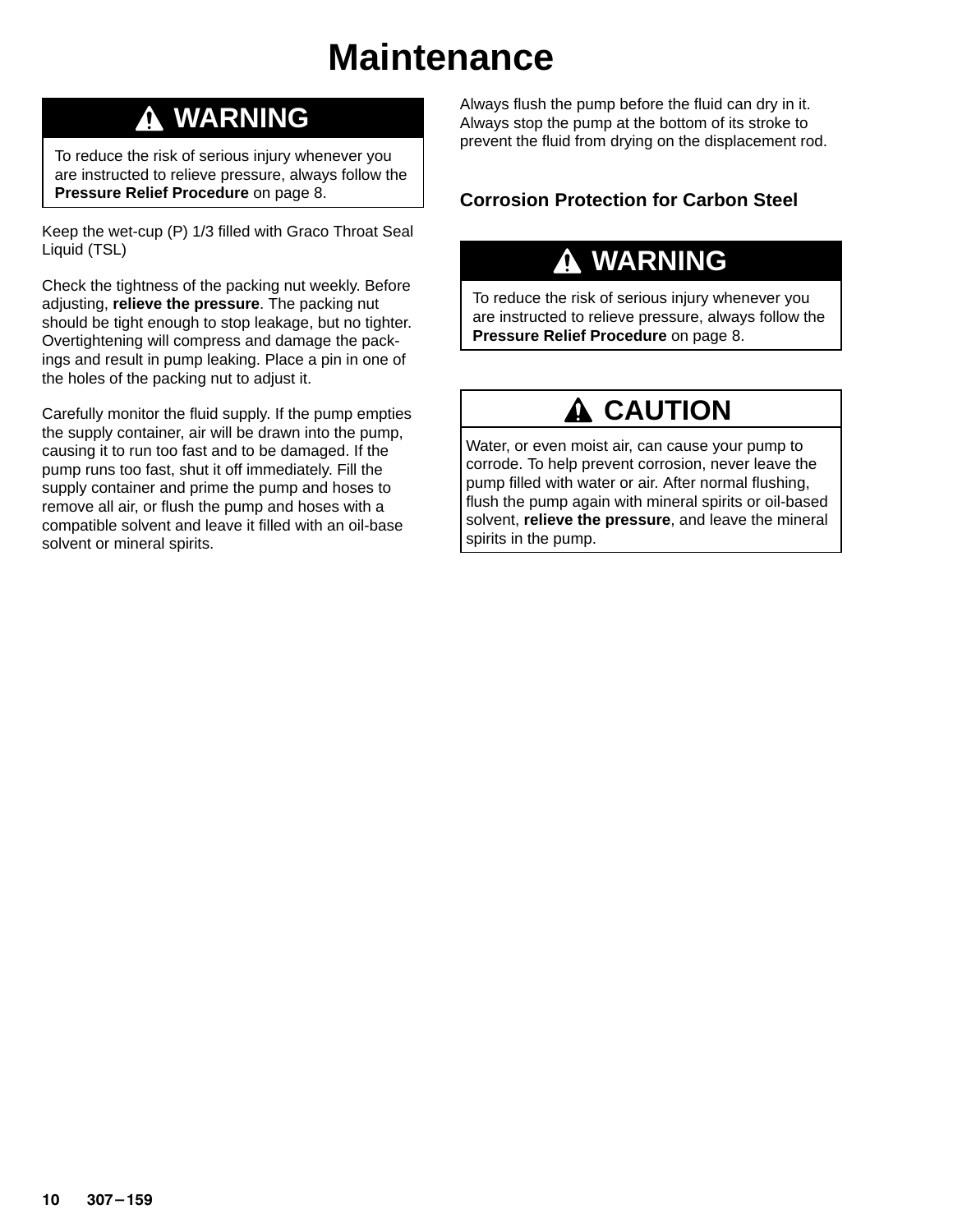### **Maintenance**

### **WARNING**

To reduce the risk of serious injury whenever you are instructed to relieve pressure, always follow the **Pressure Relief Procedure** on page 8.

Keep the wet-cup (P) 1/3 filled with Graco Throat Seal Liquid (TSL)

Check the tightness of the packing nut weekly. Before adjusting, **relieve the pressure**. The packing nut should be tight enough to stop leakage, but no tighter. Overtightening will compress and damage the packings and result in pump leaking. Place a pin in one of the holes of the packing nut to adjust it.

Carefully monitor the fluid supply. If the pump empties the supply container, air will be drawn into the pump, causing it to run too fast and to be damaged. If the pump runs too fast, shut it off immediately. Fill the supply container and prime the pump and hoses to remove all air, or flush the pump and hoses with a compatible solvent and leave it filled with an oil-base solvent or mineral spirits.

Always flush the pump before the fluid can dry in it. Always stop the pump at the bottom of its stroke to prevent the fluid from drying on the displacement rod.

#### **Corrosion Protection for Carbon Steel**

### **WARNING**

To reduce the risk of serious injury whenever you are instructed to relieve pressure, always follow the **Pressure Relief Procedure** on page 8.

### **A CAUTION**

Water, or even moist air, can cause your pump to corrode. To help prevent corrosion, never leave the pump filled with water or air. After normal flushing, flush the pump again with mineral spirits or oil-based solvent, **relieve the pressure**, and leave the mineral spirits in the pump.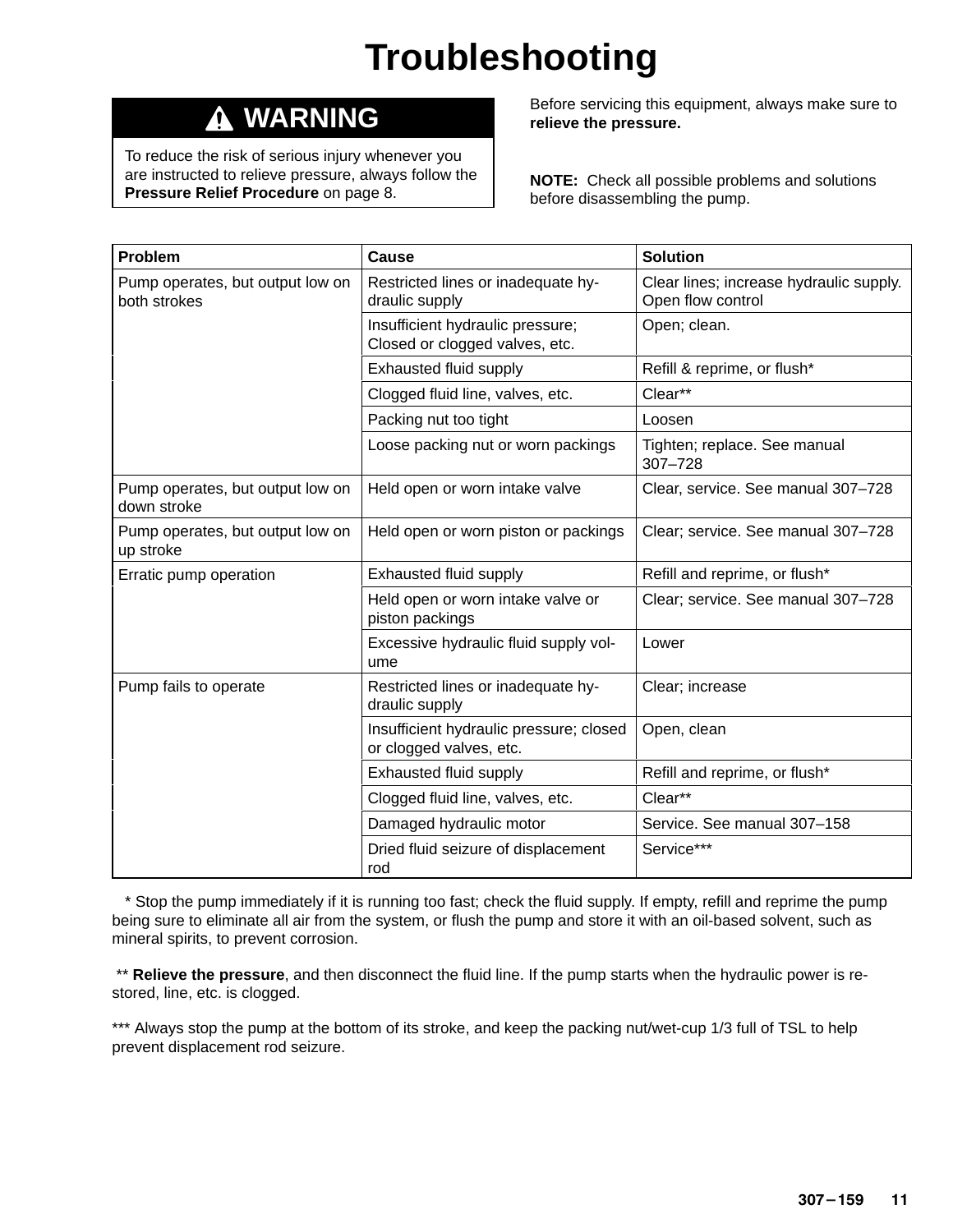# **Troubleshooting**

#### **WARNING** Δ

To reduce the risk of serious injury whenever you are instructed to relieve pressure, always follow the **Pressure Relief Procedure** on page 8.

Before servicing this equipment, always make sure to **relieve the pressure.**

**NOTE:** Check all possible problems and solutions before disassembling the pump.

| Problem                                          | Cause                                                              | <b>Solution</b>                                              |  |
|--------------------------------------------------|--------------------------------------------------------------------|--------------------------------------------------------------|--|
| Pump operates, but output low on<br>both strokes | Restricted lines or inadequate hy-<br>draulic supply               | Clear lines; increase hydraulic supply.<br>Open flow control |  |
|                                                  | Insufficient hydraulic pressure;<br>Closed or clogged valves, etc. | Open; clean.                                                 |  |
|                                                  | Exhausted fluid supply                                             | Refill & reprime, or flush*                                  |  |
|                                                  | Clogged fluid line, valves, etc.                                   | Clear**                                                      |  |
|                                                  | Packing nut too tight                                              | Loosen                                                       |  |
|                                                  | Loose packing nut or worn packings                                 | Tighten; replace. See manual<br>$307 - 728$                  |  |
| Pump operates, but output low on<br>down stroke  | Held open or worn intake valve                                     | Clear, service. See manual 307-728                           |  |
| Pump operates, but output low on<br>up stroke    | Held open or worn piston or packings                               | Clear; service. See manual 307-728                           |  |
| Erratic pump operation                           | Exhausted fluid supply                                             | Refill and reprime, or flush*                                |  |
|                                                  | Held open or worn intake valve or<br>piston packings               | Clear; service. See manual 307-728                           |  |
|                                                  | Excessive hydraulic fluid supply vol-<br>ume                       | Lower                                                        |  |
| Pump fails to operate                            | Restricted lines or inadequate hy-<br>draulic supply               | Clear; increase                                              |  |
|                                                  | Insufficient hydraulic pressure; closed<br>or clogged valves, etc. | Open, clean                                                  |  |
|                                                  | Exhausted fluid supply                                             | Refill and reprime, or flush*                                |  |
|                                                  | Clogged fluid line, valves, etc.                                   | Clear**                                                      |  |
|                                                  | Damaged hydraulic motor                                            | Service. See manual 307-158                                  |  |
|                                                  | Dried fluid seizure of displacement<br>rod                         | Service***                                                   |  |

 \* Stop the pump immediately if it is running too fast; check the fluid supply. If empty, refill and reprime the pump being sure to eliminate all air from the system, or flush the pump and store it with an oil-based solvent, such as mineral spirits, to prevent corrosion.

\*\* Relieve the pressure, and then disconnect the fluid line. If the pump starts when the hydraulic power is restored, line, etc. is clogged.

\*\*\* Always stop the pump at the bottom of its stroke, and keep the packing nut/wet-cup 1/3 full of TSL to help prevent displacement rod seizure.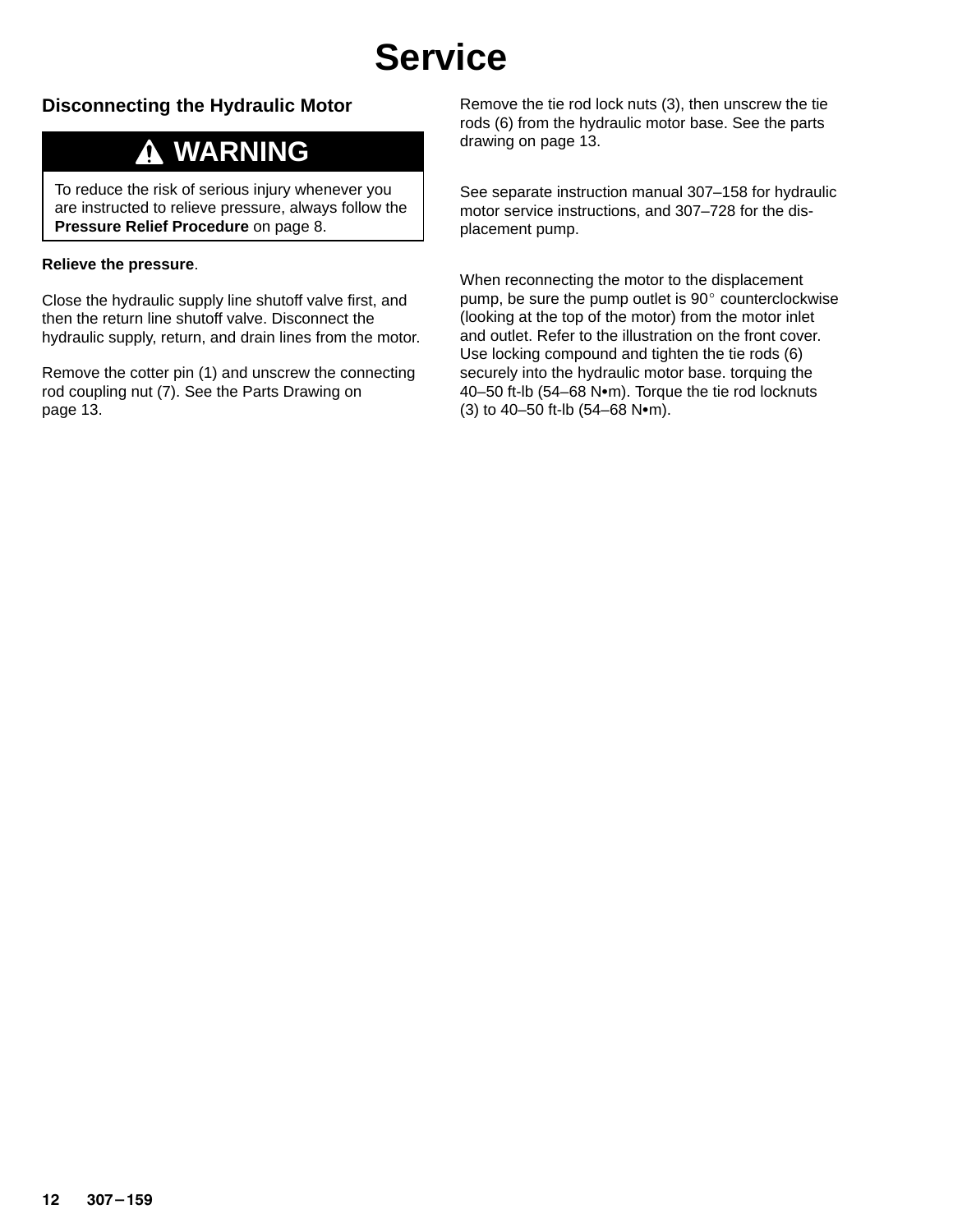## **Service**

#### **Disconnecting the Hydraulic Motor**

### **WARNING**

To reduce the risk of serious injury whenever you are instructed to relieve pressure, always follow the **Pressure Relief Procedure** on page 8.

#### **Relieve the pressure**.

Close the hydraulic supply line shutoff valve first, and then the return line shutoff valve. Disconnect the hydraulic supply, return, and drain lines from the motor.

Remove the cotter pin (1) and unscrew the connecting rod coupling nut (7). See the Parts Drawing on page 13.

Remove the tie rod lock nuts (3), then unscrew the tie rods (6) from the hydraulic motor base. See the parts drawing on page 13.

See separate instruction manual 307–158 for hydraulic motor service instructions, and 307–728 for the displacement pump.

When reconnecting the motor to the displacement pump, be sure the pump outlet is 90° counterclockwise (looking at the top of the motor) from the motor inlet and outlet. Refer to the illustration on the front cover. Use locking compound and tighten the tie rods (6) securely into the hydraulic motor base. torquing the 40–50 ft-lb (54–68 N•m). Torque the tie rod locknuts  $(3)$  to 40-50 ft-lb  $(54-68 \text{ N} \cdot \text{m})$ .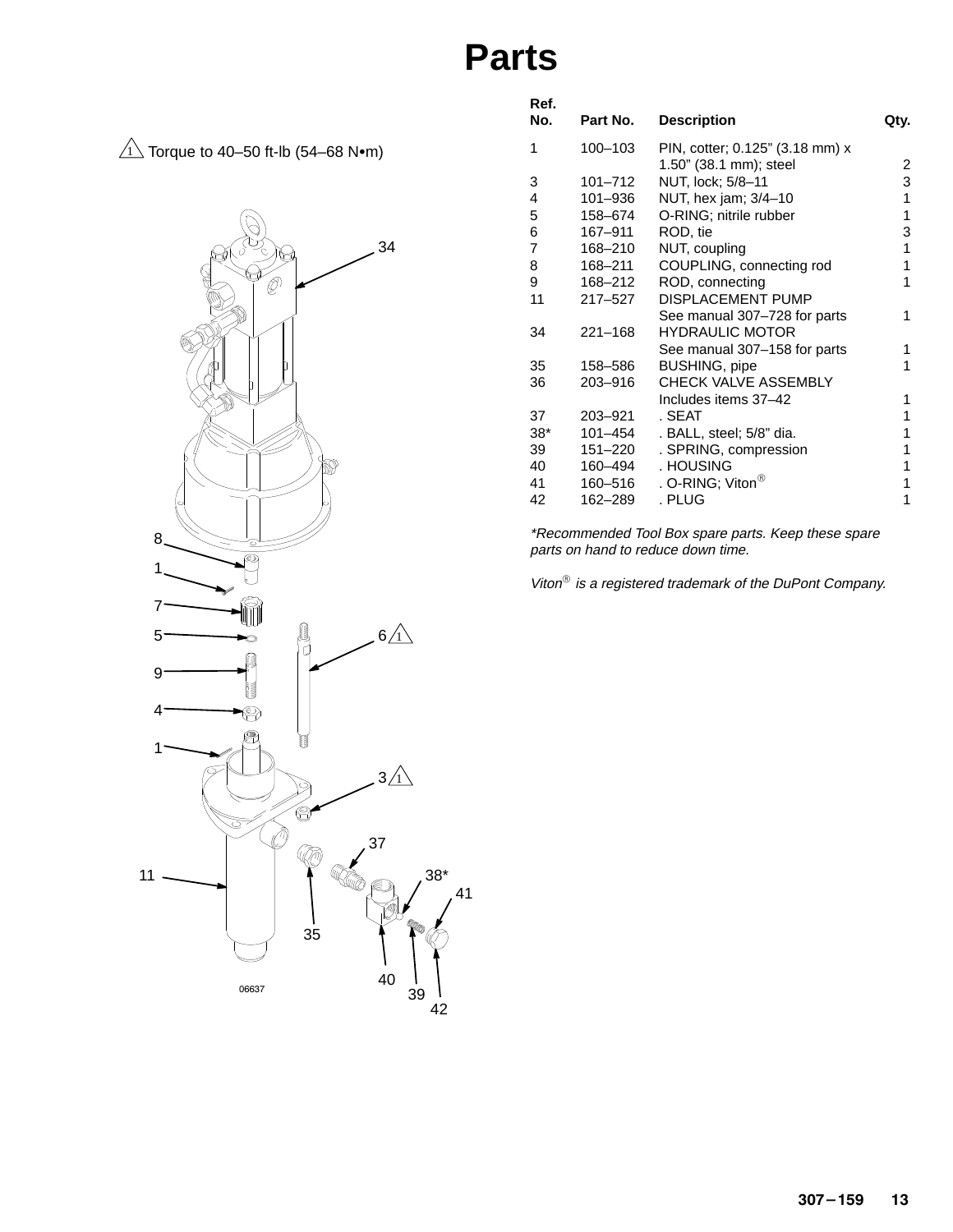### **Parts**

 $\overline{1}\overline{\!\!\:\!\!\!\perp}$  Torque to 40–50 ft-lb (54–68 N $\bullet$ m)



| Ref.<br>No.    | Part No.    | <b>Description</b>              | Qty. |
|----------------|-------------|---------------------------------|------|
|                |             |                                 |      |
| 1              | 100-103     | PIN, cotter; 0.125" (3.18 mm) x |      |
|                |             | 1.50" (38.1 mm); steel          | 2    |
| 3              | $101 - 712$ | NUT, lock; 5/8-11               | 3    |
| 4              | 101-936     | NUT, hex jam; 3/4-10            | 1    |
| 5              | 158-674     | O-RING; nitrile rubber          | 1    |
| 6              | 167-911     | ROD, tie                        | 3    |
| $\overline{7}$ | 168-210     | NUT, coupling                   | 1    |
| 8              | 168-211     | COUPLING, connecting rod        | 1    |
| 9              | 168–212     | ROD, connecting                 | 1    |
| 11             | $217 - 527$ | <b>DISPLACEMENT PUMP</b>        |      |
|                |             | See manual 307-728 for parts    | 1    |
| 34             | $221 - 168$ | <b>HYDRAULIC MOTOR</b>          |      |
|                |             | See manual 307-158 for parts    | 1    |
| 35             | 158-586     | <b>BUSHING, pipe</b>            | 1    |
| 36             | 203-916     | CHECK VALVE ASSEMBLY            |      |
|                |             | Includes items 37-42            | 1    |
| 37             | 203-921     | . SEAT                          | 1    |
| $38*$          | $101 - 454$ | . BALL, steel; 5/8" dia.        | 1    |
| 39             | 151-220     | . SPRING, compression           | 1    |
| 40             | 160–494     | . HOUSING                       | 1    |
| 41             | 160–516     | . O-RING; Viton $^{\circledR}$  | 1    |
| 42             | 162-289     | . PLUG                          | 1    |
|                |             |                                 |      |

\*Recommended Tool Box spare parts. Keep these spare parts on hand to reduce down time.

Viton $^{\circledR}$  is a registered trademark of the DuPont Company.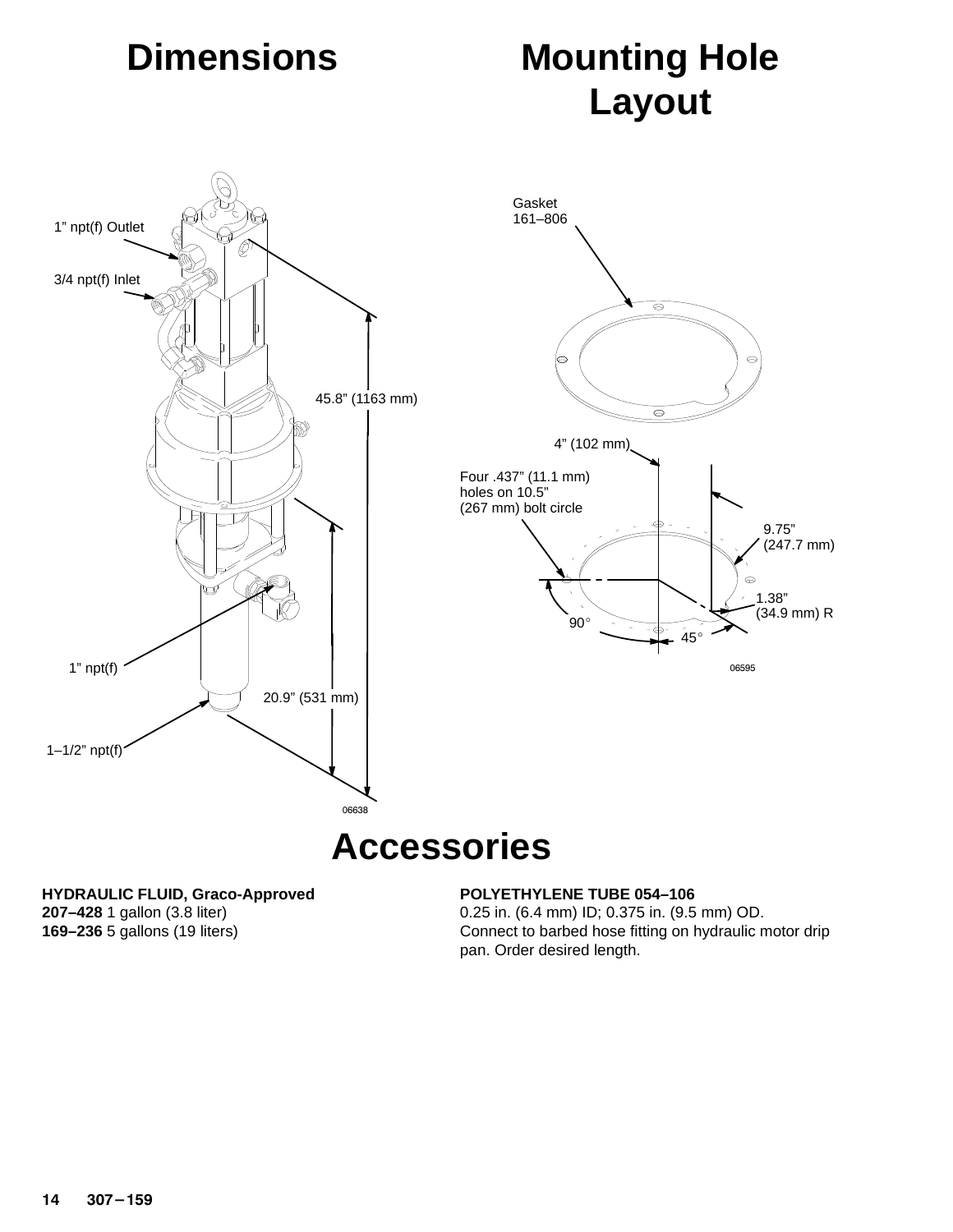# **Dimensions**

# **Mounting Hole Layout**



### **Accessories**

#### **HYDRAULIC FLUID, Graco-Approved**

**207–428** 1 gallon (3.8 liter) **169–236** 5 gallons (19 liters)

#### **POLYETHYLENE TUBE 054–106**

0.25 in. (6.4 mm) ID; 0.375 in. (9.5 mm) OD. Connect to barbed hose fitting on hydraulic motor drip pan. Order desired length.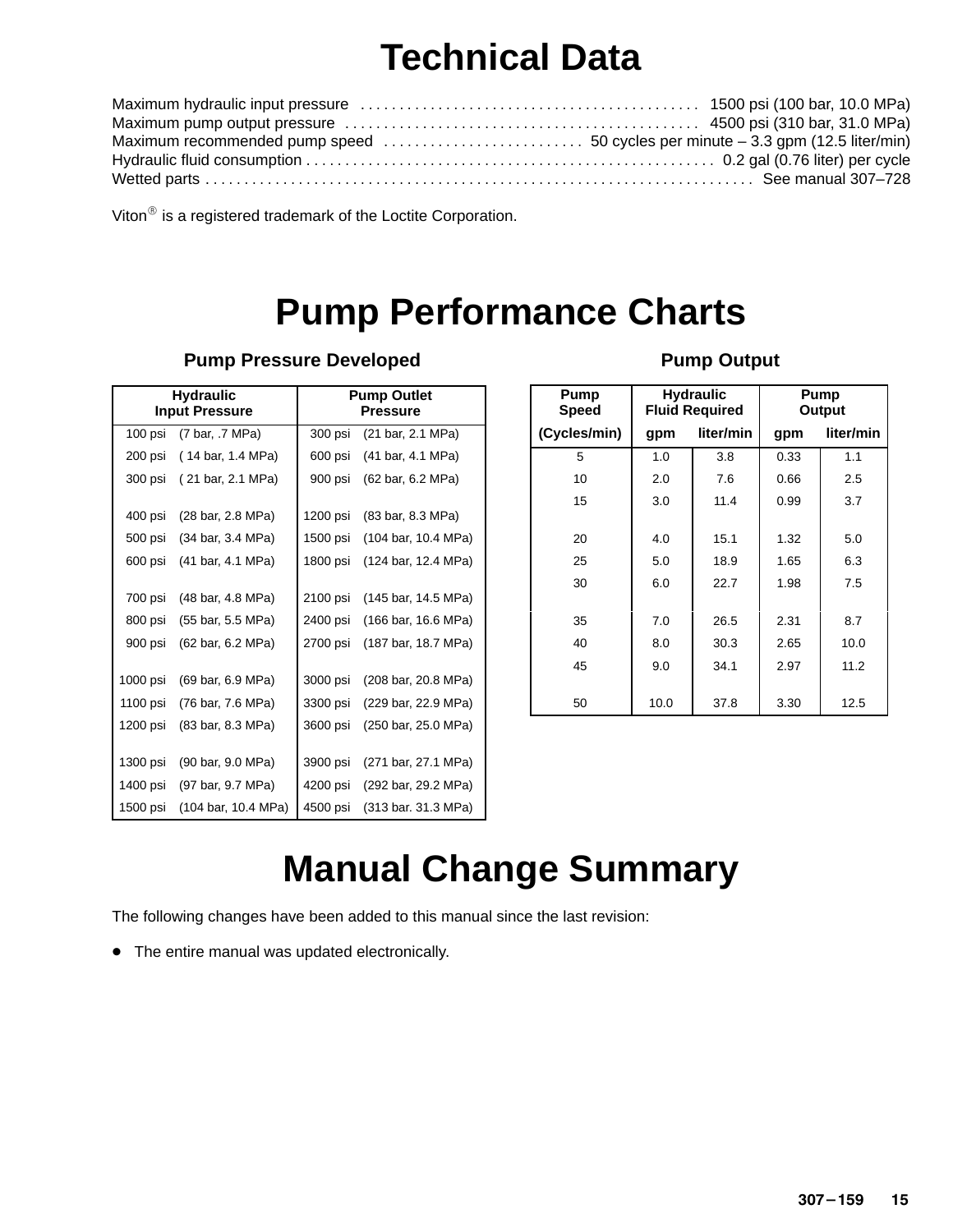# **Technical Data**

Viton $^{\circledR}$  is a registered trademark of the Loctite Corporation.

# **Pump Performance Charts**

| <b>Hydraulic</b><br><b>Input Pressure</b> |                     | <b>Pump Outlet</b><br><b>Pressure</b> |                     |  |
|-------------------------------------------|---------------------|---------------------------------------|---------------------|--|
|                                           |                     |                                       |                     |  |
| 100 psi                                   | (7 bar, .7 MPa)     | 300 psi                               | (21 bar, 2.1 MPa)   |  |
| 200 psi                                   | (14 bar, 1.4 MPa)   | 600 psi                               | (41 bar, 4.1 MPa)   |  |
| 300 psi                                   | (21 bar, 2.1 MPa)   | 900 psi                               | (62 bar, 6.2 MPa)   |  |
| 400 psi                                   | (28 bar, 2.8 MPa)   | 1200 psi                              | (83 bar, 8.3 MPa)   |  |
| 500 psi                                   | (34 bar, 3.4 MPa)   | 1500 psi                              | (104 bar, 10.4 MPa) |  |
| 600 psi                                   | (41 bar, 4.1 MPa)   | 1800 psi                              | (124 bar, 12.4 MPa) |  |
| 700 psi                                   | (48 bar, 4.8 MPa)   | 2100 psi                              | (145 bar, 14.5 MPa) |  |
| 800 psi                                   | (55 bar, 5.5 MPa)   | 2400 psi                              | (166 bar, 16.6 MPa) |  |
| 900 psi                                   | (62 bar, 6.2 MPa)   | 2700 psi                              | (187 bar, 18.7 MPa) |  |
| 1000 psi                                  | (69 bar, 6.9 MPa)   | 3000 psi                              | (208 bar, 20.8 MPa) |  |
| 1100 psi                                  | (76 bar, 7.6 MPa)   | 3300 psi                              | (229 bar, 22.9 MPa) |  |
| 1200 psi                                  | (83 bar, 8.3 MPa)   | 3600 psi                              | (250 bar, 25.0 MPa) |  |
| 1300 psi                                  | (90 bar, 9.0 MPa)   | 3900 psi                              | (271 bar, 27.1 MPa) |  |
| 1400 psi                                  | (97 bar, 9.7 MPa)   | 4200 psi                              | (292 bar, 29.2 MPa) |  |
| 1500 psi                                  | (104 bar, 10.4 MPa) | 4500 psi                              | (313 bar. 31.3 MPa) |  |

#### **Pump Pressure Developed**

#### **Pump Output**

| Pump<br><b>Speed</b> | <b>Hydraulic</b><br><b>Fluid Required</b> |           |      | Pump<br>Output |
|----------------------|-------------------------------------------|-----------|------|----------------|
| (Cycles/min)         | gpm                                       | liter/min | gpm  | liter/min      |
| 5                    | 1.0                                       | 3.8       | 0.33 | 1.1            |
| 10                   | 2.0                                       | 7.6       | 0.66 | 2.5            |
| 15                   | 3.0                                       | 11.4      | 0.99 | 3.7            |
| 20                   | 4.0                                       | 15.1      | 1.32 | 5.0            |
| 25                   | 5.0                                       | 18.9      | 1.65 | 6.3            |
| 30                   | 6.0                                       | 22.7      | 1.98 | 7.5            |
| 35                   | 7.0                                       | 26.5      | 2.31 | 8.7            |
|                      |                                           |           |      |                |
| 40                   | 8.0                                       | 30.3      | 2.65 | 10.0           |
| 45                   | 9.0                                       | 34.1      | 2.97 | 11.2           |
| 50                   | 10.0                                      | 37.8      | 3.30 | 12.5           |

## **Manual Change Summary**

The following changes have been added to this manual since the last revision:

• The entire manual was updated electronically.